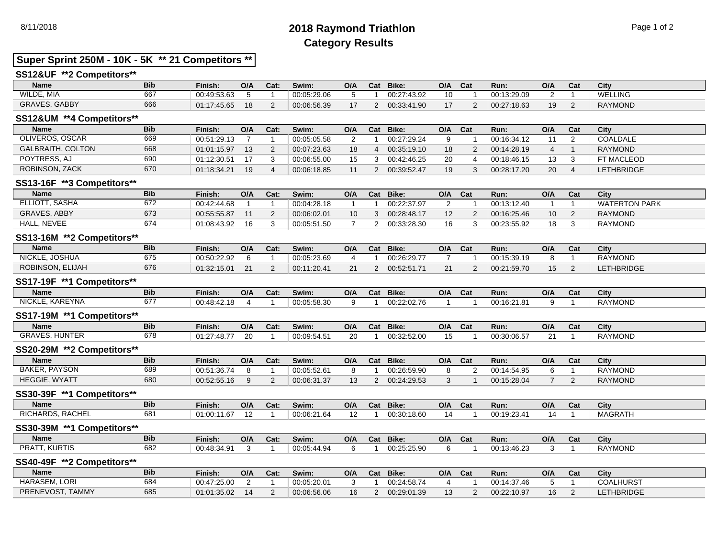# 8/11/2018 **2018 Raymond Triathlon** Page 1 of 2 **Category Results**

### **Super Sprint 250M - 10K - 5K \*\* 21 Competitors \*\***

#### **SS12&UF \*\*2 Competitors\*\***

| Name                 | <b>Bib</b> | Finish:     | O/A | Cat: | Swim:       | O/A | Cat | Bike:       | O/A | Cat | Run:        | O/A | Cat | City           |
|----------------------|------------|-------------|-----|------|-------------|-----|-----|-------------|-----|-----|-------------|-----|-----|----------------|
| WILDE, MIA           | 667        | 00:49:53.63 |     |      | 00:05:29.06 |     |     | 00:27:43.92 | 10  |     | 00:13:29.09 |     |     | <b>WELLING</b> |
| <b>GRAVES, GABBY</b> | 666        | 01:17:45.65 | 18  |      | 00:06:56.39 |     |     | 00:33:41.90 |     |     | 00:27:18.63 | 19  |     | <b>RAYMOND</b> |

#### **SS12&UM \*\*4 Competitors\*\***

| <b>Name</b>              | <b>Bib</b> | Finish:     | O/A | Cat: | Swim:       | O/A | Cat | Bike:       | O/A | <b>Cat</b> | Run:        | O/A | Cat | City              |
|--------------------------|------------|-------------|-----|------|-------------|-----|-----|-------------|-----|------------|-------------|-----|-----|-------------------|
| OLIVEROS, OSCAR          | 669        | 00:51:29.13 |     |      | 00:05:05.58 |     |     | 00:27:29.24 |     |            | 00:16:34.12 |     |     | COALDALE          |
| <b>GALBRAITH, COLTON</b> | 668        | 01:01:15.97 | 13  |      | 00:07:23.63 | 18  |     | 00:35:19.10 | 18  |            | 00:14:28.19 |     |     | RAYMOND           |
| POYTRESS, AJ             | 690        | 01:12:30.51 |     |      | 00:06:55.00 |     |     | 00:42:46.25 | 20  |            | 00:18:46.15 | 13  |     | FT MACLEOD        |
| ROBINSON, ZACK           | 670        | 01:18:34.21 | 19  |      | 00:06:18.85 |     |     | 00:39:52.47 | 19  |            | 00:28:17.20 | 20  |     | <b>LETHBRIDGE</b> |

#### **SS13-16F \*\*3 Competitors\*\***

| <b>Name</b>         | <b>Bib</b> | Finish.     | O/A | Cat: | Swim:       | O/A | Cat | Bike:       | O/A | Cat | Run:        | O/A             | Cat | City                 |
|---------------------|------------|-------------|-----|------|-------------|-----|-----|-------------|-----|-----|-------------|-----------------|-----|----------------------|
| ELLIOTT, SASHA      | 672        | 00:42:44.68 |     |      | 00:04:28.18 |     |     | 00:22:37.97 |     |     | 00:13:12.40 |                 |     | <b>WATERTON PARK</b> |
| <b>GRAVES, ABBY</b> | 673        | 00:55:55.87 |     |      | 00:06:02.01 | 10  |     | 00:28:48.17 |     |     | 00:16:25.46 | 10 <sup>°</sup> |     | <b>RAYMOND</b>       |
| <b>HALL, NEVEE</b>  | 674        | 01:08:43.92 | 16  |      | 00:05:51.50 |     |     | 00:33:28.30 | 16  |     | 00:23:55.92 | 18              |     | <b>RAYMOND</b>       |

#### **SS13-16M \*\*2 Competitors\*\***

| <b>Name</b>      | <b>Bib</b> | Finish:     | O/A | Cat: | Swim:       | O/A       | Cat | Bike:       | O/A | Cat | Run:        | O/A | Cat | City             |
|------------------|------------|-------------|-----|------|-------------|-----------|-----|-------------|-----|-----|-------------|-----|-----|------------------|
| NICKLE, JOSHUA   | 675        | 00:50:22.92 |     |      | 00:05:23.69 |           |     | 00:26:29.77 |     |     | 00:15:39.19 |     |     | <b>RAYMOND</b>   |
| ROBINSON, ELIJAH | 676        | 01:32:15.01 |     |      | 00:11:20.41 | $\bigcap$ |     | 00.52.51.71 |     |     | 00:21:59.70 |     |     | <b>ETHBRIDGE</b> |

#### **SS17-19F \*\*1 Competitors\*\***

| Name               | <b>Bib</b>       | Finish:     | O/A | Cat: | Swim:       | O/A | Cat | Bike:       | O/A | Cat | Run:        | O/A | val | City           |
|--------------------|------------------|-------------|-----|------|-------------|-----|-----|-------------|-----|-----|-------------|-----|-----|----------------|
| KAREYNA<br>NICKLE. | $\sim$ --<br>67. | 00:48:42.18 |     |      | 00:05:58.30 |     |     | 00:22:02.76 |     |     | 00:16:21.81 |     |     | <b>RAYMOND</b> |

#### **SS17-19M \*\*1 Competitors\*\***

| <b>Name</b>             | <b>Bib</b>  | Finish:         | O/A | Cat: | Swim:                                                    | O/A         | Cat | <b>Bike:</b> | O/A | Cat | Run:        | O/A | $\sim$<br>val | City           |
|-------------------------|-------------|-----------------|-----|------|----------------------------------------------------------|-------------|-----|--------------|-----|-----|-------------|-----|---------------|----------------|
| HUNTER<br><b>GRAVES</b> | 270<br>07 C | 01:27<br>7:48.7 | ╱∪  |      | $\sim$ $\sim$ $\sim$<br>$^+$ 00.u<br>$^{\prime}$ )9.54.5 | $\sim$<br>Z |     | 00:32:52.00  |     |     | 00:30:06.57 |     |               | <b>RAYMOND</b> |
|                         |             |                 |     |      |                                                          |             |     |              |     |     |             |     |               |                |

#### **SS20-29M \*\*2 Competitors\*\***

| <b>Name</b>                   | <b>Bib</b> | Finish:     | O/A | Cat.   | Swim:       | O/A            | Cat | Bike:       | O/A | Cat | Run:        | O/A | Cat | City           |
|-------------------------------|------------|-------------|-----|--------|-------------|----------------|-----|-------------|-----|-----|-------------|-----|-----|----------------|
| <b>PAYSON</b><br><b>BAKER</b> | 689        | 00:51:36.74 |     |        | 00:05:52.61 |                |     | 00:26:59.90 |     |     | 00:14:54.95 |     |     | <b>RAYMOND</b> |
| <b>HEGGIE, WYATT</b>          | 680        | 00:52:55.16 |     | $\sim$ | 00:06:31.37 | $\overline{ }$ |     | 00:24:29.53 |     |     | 00:15:28.04 |     |     | <b>RAYMOND</b> |

#### **SS30-39F \*\*1 Competitors\*\***

| <b>Name</b>      | <b>Bib</b> | Finish:     | O/A | Cat: | Swim:       | O/A                          | <b>Cast</b><br>va. | Bike:       | O/A | Cat | Run:       | O/A | $\sim$<br>∿d⊾ | City    |
|------------------|------------|-------------|-----|------|-------------|------------------------------|--------------------|-------------|-----|-----|------------|-----|---------------|---------|
| RICHARDS, RACHEL | 681        | 01:00:11.67 |     |      | 00:06:21.64 | $\overline{A}$<br>. <u>.</u> |                    | 00:30:18.60 |     |     | 00:19:23.4 |     |               | MAGRATH |

#### **SS30-39M \*\*1 Competitors\*\***

| <b>Name</b>            | <b>Bib</b> | Finish:  | O/A | Cat: | Swim:                                | O/A | $P_{\rm{max}}$<br><b>val</b> | <b>Bike:</b> | O/A | $\sim$ $-$<br>val | Run:                        | O/A | Cat | City           |
|------------------------|------------|----------|-----|------|--------------------------------------|-----|------------------------------|--------------|-----|-------------------|-----------------------------|-----|-----|----------------|
| <b>KURTIS</b><br>PRAT. | coo<br>UO∠ | 76.34.9° |     |      | 5. <i>AA</i> 0.4<br>00:05<br>9.44.94 |     |                              | 00:25:25.90  |     |                   | 00.40<br>$\sim$<br>:13:46.Z |     |     | <b>RAYMOND</b> |

#### **SS40-49F \*\*2 Competitors\*\***

| <b>Name</b>      | <b>Bib</b> | Finish.     | O/A | Cat: | Swim:       | O/A | Cat | Bike:       | O/A | Cat | Run:        | O/A | Cat | City              |
|------------------|------------|-------------|-----|------|-------------|-----|-----|-------------|-----|-----|-------------|-----|-----|-------------------|
| HARASEM, LORI    | 684        | 00:47:25.00 |     |      | 00:05:20.01 |     |     | 00:24:58.74 |     |     | 00:14:37.46 |     |     | <b>COALHURST</b>  |
| PRENEVOST, TAMMY | 685        | 01:01:35.02 | 14  |      | 00:06:56.06 | 16  |     | 00:29:01.39 | ل ۱ |     | 00:22:10.97 | 16  |     | <b>LETHBRIDGE</b> |